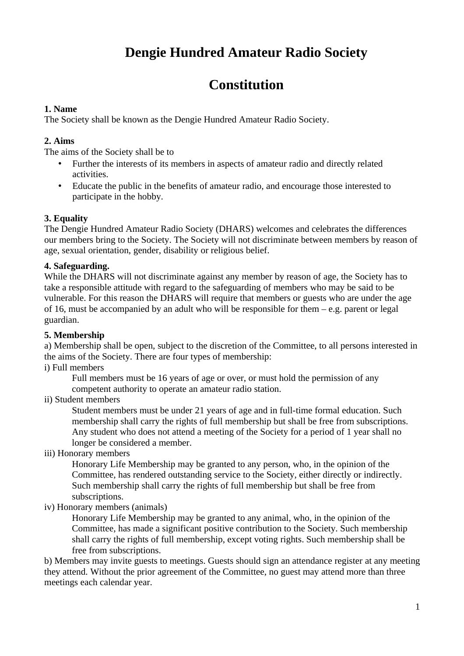# **Dengie Hundred Amateur Radio Society**

# **Constitution**

## **1. Name**

The Society shall be known as the Dengie Hundred Amateur Radio Society.

## **2. Aims**

The aims of the Society shall be to

- Further the interests of its members in aspects of amateur radio and directly related activities.
- Educate the public in the benefits of amateur radio, and encourage those interested to participate in the hobby.

## **3. Equality**

The Dengie Hundred Amateur Radio Society (DHARS) welcomes and celebrates the differences our members bring to the Society. The Society will not discriminate between members by reason of age, sexual orientation, gender, disability or religious belief.

## **4. Safeguarding.**

While the DHARS will not discriminate against any member by reason of age, the Society has to take a responsible attitude with regard to the safeguarding of members who may be said to be vulnerable. For this reason the DHARS will require that members or guests who are under the age of 16, must be accompanied by an adult who will be responsible for them  $-$  e.g. parent or legal guardian.

## **5. Membership**

a) Membership shall be open, subject to the discretion of the Committee, to all persons interested in the aims of the Society. There are four types of membership:

## i) Full members

Full members must be 16 years of age or over, or must hold the permission of any competent authority to operate an amateur radio station.

## ii) Student members

Student members must be under 21 years of age and in full-time formal education. Such membership shall carry the rights of full membership but shall be free from subscriptions. Any student who does not attend a meeting of the Society for a period of 1 year shall no longer be considered a member.

## iii) Honorary members

Honorary Life Membership may be granted to any person, who, in the opinion of the Committee, has rendered outstanding service to the Society, either directly or indirectly. Such membership shall carry the rights of full membership but shall be free from subscriptions.

iv) Honorary members (animals)

Honorary Life Membership may be granted to any animal, who, in the opinion of the Committee, has made a significant positive contribution to the Society. Such membership shall carry the rights of full membership, except voting rights. Such membership shall be free from subscriptions.

b) Members may invite guests to meetings. Guests should sign an attendance register at any meeting they attend. Without the prior agreement of the Committee, no guest may attend more than three meetings each calendar year.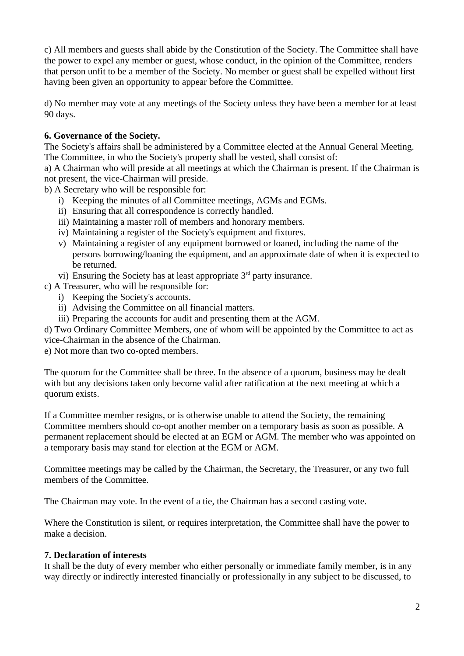c) All members and guests shall abide by the Constitution of the Society. The Committee shall have the power to expel any member or guest, whose conduct, in the opinion of the Committee, renders that person unfit to be a member of the Society. No member or guest shall be expelled without first having been given an opportunity to appear before the Committee.

d) No member may vote at any meetings of the Society unless they have been a member for at least 90 days.

## **6. Governance of the Society.**

The Society's affairs shall be administered by a Committee elected at the Annual General Meeting. The Committee, in who the Society's property shall be vested, shall consist of:

a) A Chairman who will preside at all meetings at which the Chairman is present. If the Chairman is not present, the vice-Chairman will preside.

b) A Secretary who will be responsible for:

- i) Keeping the minutes of all Committee meetings, AGMs and EGMs.
- ii) Ensuring that all correspondence is correctly handled.
- iii) Maintaining a master roll of members and honorary members.
- iv) Maintaining a register of the Society's equipment and fixtures.
- v) Maintaining a register of any equipment borrowed or loaned, including the name of the persons borrowing/loaning the equipment, and an approximate date of when it is expected to be returned.
- vi) Ensuring the Society has at least appropriate  $3<sup>rd</sup>$  party insurance.
- c) A Treasurer, who will be responsible for:
	- i) Keeping the Society's accounts.
	- ii) Advising the Committee on all financial matters.
	- iii) Preparing the accounts for audit and presenting them at the AGM.

d) Two Ordinary Committee Members, one of whom will be appointed by the Committee to act as

vice-Chairman in the absence of the Chairman.

e) Not more than two co-opted members.

The quorum for the Committee shall be three. In the absence of a quorum, business may be dealt with but any decisions taken only become valid after ratification at the next meeting at which a quorum exists.

If a Committee member resigns, or is otherwise unable to attend the Society, the remaining Committee members should co-opt another member on a temporary basis as soon as possible. A permanent replacement should be elected at an EGM or AGM. The member who was appointed on a temporary basis may stand for election at the EGM or AGM.

Committee meetings may be called by the Chairman, the Secretary, the Treasurer, or any two full members of the Committee.

The Chairman may vote. In the event of a tie, the Chairman has a second casting vote.

Where the Constitution is silent, or requires interpretation, the Committee shall have the power to make a decision.

## **7. Declaration of interests**

It shall be the duty of every member who either personally or immediate family member, is in any way directly or indirectly interested financially or professionally in any subject to be discussed, to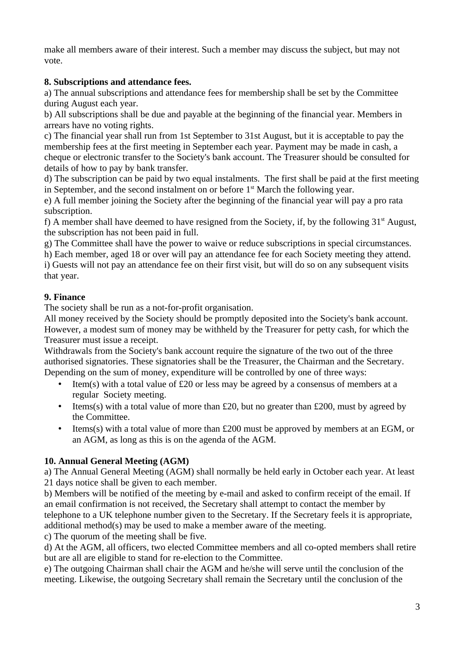make all members aware of their interest. Such a member may discuss the subject, but may not vote.

## **8. Subscriptions and attendance fees.**

a) The annual subscriptions and attendance fees for membership shall be set by the Committee during August each year.

b) All subscriptions shall be due and payable at the beginning of the financial year. Members in arrears have no voting rights.

c) The financial year shall run from 1st September to 31st August, but it is acceptable to pay the membership fees at the first meeting in September each year. Payment may be made in cash, a cheque or electronic transfer to the Society's bank account. The Treasurer should be consulted for details of how to pay by bank transfer.

d) The subscription can be paid by two equal instalments. The first shall be paid at the first meeting in September, and the second instalment on or before  $1<sup>st</sup>$  March the following year.

e) A full member joining the Society after the beginning of the financial year will pay a pro rata subscription.

f) A member shall have deemed to have resigned from the Society, if, by the following  $31<sup>st</sup>$  August, the subscription has not been paid in full.

g) The Committee shall have the power to waive or reduce subscriptions in special circumstances.

h) Each member, aged 18 or over will pay an attendance fee for each Society meeting they attend.

i) Guests will not pay an attendance fee on their first visit, but will do so on any subsequent visits that year.

## **9. Finance**

The society shall be run as a not-for-profit organisation.

All money received by the Society should be promptly deposited into the Society's bank account. However, a modest sum of money may be withheld by the Treasurer for petty cash, for which the Treasurer must issue a receipt.

Withdrawals from the Society's bank account require the signature of the two out of the three authorised signatories. These signatories shall be the Treasurer, the Chairman and the Secretary. Depending on the sum of money, expenditure will be controlled by one of three ways:

- Item(s) with a total value of £20 or less may be agreed by a consensus of members at a regular Society meeting.
- Items(s) with a total value of more than £20, but no greater than £200, must by agreed by the Committee.
- Items(s) with a total value of more than £200 must be approved by members at an EGM, or an AGM, as long as this is on the agenda of the AGM.

## **10. Annual General Meeting (AGM)**

a) The Annual General Meeting (AGM) shall normally be held early in October each year. At least 21 days notice shall be given to each member.

b) Members will be notified of the meeting by e-mail and asked to confirm receipt of the email. If an email confirmation is not received, the Secretary shall attempt to contact the member by telephone to a UK telephone number given to the Secretary. If the Secretary feels it is appropriate,

additional method(s) may be used to make a member aware of the meeting.

c) The quorum of the meeting shall be five.

d) At the AGM, all officers, two elected Committee members and all co-opted members shall retire but are all are eligible to stand for re-election to the Committee.

e) The outgoing Chairman shall chair the AGM and he/she will serve until the conclusion of the meeting. Likewise, the outgoing Secretary shall remain the Secretary until the conclusion of the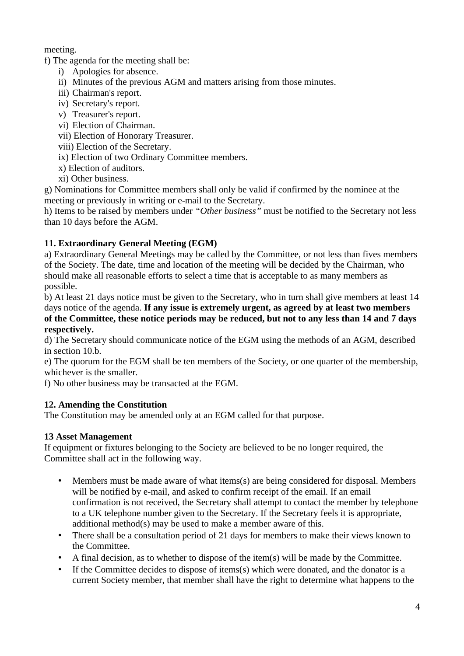meeting.

f) The agenda for the meeting shall be:

- i) Apologies for absence.
- ii) Minutes of the previous AGM and matters arising from those minutes.
- iii) Chairman's report.
- iv) Secretary's report.
- v) Treasurer's report.
- vi) Election of Chairman.
- vii) Election of Honorary Treasurer.
- viii) Election of the Secretary.
- ix) Election of two Ordinary Committee members.
- x) Election of auditors.
- xi) Other business.

g) Nominations for Committee members shall only be valid if confirmed by the nominee at the meeting or previously in writing or e-mail to the Secretary.

h) Items to be raised by members under *"Other business"* must be notified to the Secretary not less than 10 days before the AGM.

## **11. Extraordinary General Meeting (EGM)**

a) Extraordinary General Meetings may be called by the Committee, or not less than fives members of the Society. The date, time and location of the meeting will be decided by the Chairman, who should make all reasonable efforts to select a time that is acceptable to as many members as possible.

b) At least 21 days notice must be given to the Secretary, who in turn shall give members at least 14 days notice of the agenda. **If any issue is extremely urgent, as agreed by at least two members of the Committee, these notice periods may be reduced, but not to any less than 14 and 7 days respectively.**

d) The Secretary should communicate notice of the EGM using the methods of an AGM, described in section 10.b.

e) The quorum for the EGM shall be ten members of the Society, or one quarter of the membership, whichever is the smaller.

f) No other business may be transacted at the EGM.

## **12. Amending the Constitution**

The Constitution may be amended only at an EGM called for that purpose.

## **13 Asset Management**

If equipment or fixtures belonging to the Society are believed to be no longer required, the Committee shall act in the following way.

- Members must be made aware of what items(s) are being considered for disposal. Members will be notified by e-mail, and asked to confirm receipt of the email. If an email confirmation is not received, the Secretary shall attempt to contact the member by telephone to a UK telephone number given to the Secretary. If the Secretary feels it is appropriate, additional method(s) may be used to make a member aware of this.
- There shall be a consultation period of 21 days for members to make their views known to the Committee.
- A final decision, as to whether to dispose of the item(s) will be made by the Committee.
- If the Committee decides to dispose of items(s) which were donated, and the donator is a current Society member, that member shall have the right to determine what happens to the